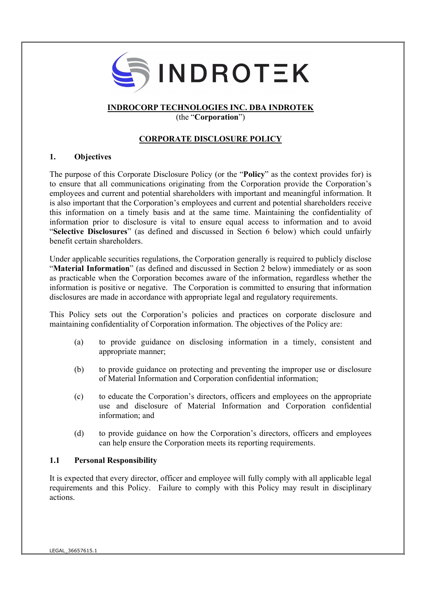

# INDROCORP TECHNOLOGIES INC. DBA INDROTEK

(the "Corporation")

# CORPORATE DISCLOSURE POLICY

## 1. Objectives

The purpose of this Corporate Disclosure Policy (or the "Policy" as the context provides for) is to ensure that all communications originating from the Corporation provide the Corporation's employees and current and potential shareholders with important and meaningful information. It is also important that the Corporation's employees and current and potential shareholders receive this information on a timely basis and at the same time. Maintaining the confidentiality of information prior to disclosure is vital to ensure equal access to information and to avoid "Selective Disclosures" (as defined and discussed in Section 6 below) which could unfairly benefit certain shareholders.

Under applicable securities regulations, the Corporation generally is required to publicly disclose "Material Information" (as defined and discussed in Section 2 below) immediately or as soon as practicable when the Corporation becomes aware of the information, regardless whether the information is positive or negative. The Corporation is committed to ensuring that information disclosures are made in accordance with appropriate legal and regulatory requirements.

This Policy sets out the Corporation's policies and practices on corporate disclosure and maintaining confidentiality of Corporation information. The objectives of the Policy are:

- (a) to provide guidance on disclosing information in a timely, consistent and appropriate manner;
- (b) to provide guidance on protecting and preventing the improper use or disclosure of Material Information and Corporation confidential information;
- (c) to educate the Corporation's directors, officers and employees on the appropriate use and disclosure of Material Information and Corporation confidential information; and
- (d) to provide guidance on how the Corporation's directors, officers and employees can help ensure the Corporation meets its reporting requirements.

## 1.1 Personal Responsibility

It is expected that every director, officer and employee will fully comply with all applicable legal requirements and this Policy. Failure to comply with this Policy may result in disciplinary actions.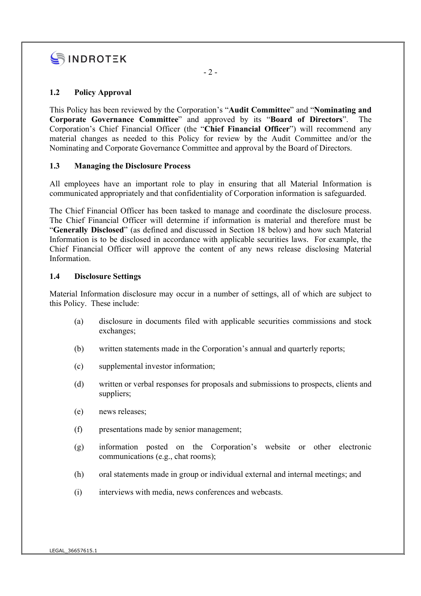

# 1.2 Policy Approval

This Policy has been reviewed by the Corporation's "Audit Committee" and "Nominating and Corporate Governance Committee" and approved by its "Board of Directors". The Corporation's Chief Financial Officer (the "Chief Financial Officer") will recommend any material changes as needed to this Policy for review by the Audit Committee and/or the Nominating and Corporate Governance Committee and approval by the Board of Directors.

## 1.3 Managing the Disclosure Process

All employees have an important role to play in ensuring that all Material Information is communicated appropriately and that confidentiality of Corporation information is safeguarded.

The Chief Financial Officer has been tasked to manage and coordinate the disclosure process. The Chief Financial Officer will determine if information is material and therefore must be "Generally Disclosed" (as defined and discussed in Section 18 below) and how such Material Information is to be disclosed in accordance with applicable securities laws. For example, the Chief Financial Officer will approve the content of any news release disclosing Material Information.

#### 1.4 Disclosure Settings

Material Information disclosure may occur in a number of settings, all of which are subject to this Policy. These include:

- (a) disclosure in documents filed with applicable securities commissions and stock exchanges;
- (b) written statements made in the Corporation's annual and quarterly reports;
- (c) supplemental investor information;
- (d) written or verbal responses for proposals and submissions to prospects, clients and suppliers;
- (e) news releases;
- (f) presentations made by senior management;
- (g) information posted on the Corporation's website or other electronic communications (e.g., chat rooms);
- (h) oral statements made in group or individual external and internal meetings; and
- (i) interviews with media, news conferences and webcasts.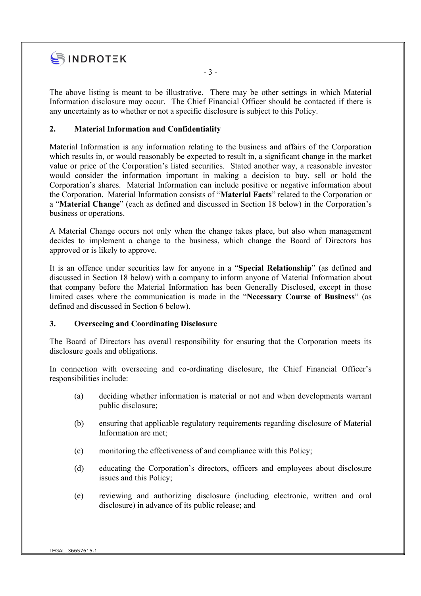

The above listing is meant to be illustrative. There may be other settings in which Material Information disclosure may occur. The Chief Financial Officer should be contacted if there is any uncertainty as to whether or not a specific disclosure is subject to this Policy.

- 3 -

# 2. Material Information and Confidentiality

Material Information is any information relating to the business and affairs of the Corporation which results in, or would reasonably be expected to result in, a significant change in the market value or price of the Corporation's listed securities. Stated another way, a reasonable investor would consider the information important in making a decision to buy, sell or hold the Corporation's shares. Material Information can include positive or negative information about the Corporation. Material Information consists of "Material Facts" related to the Corporation or a "Material Change" (each as defined and discussed in Section 18 below) in the Corporation's business or operations.

A Material Change occurs not only when the change takes place, but also when management decides to implement a change to the business, which change the Board of Directors has approved or is likely to approve.

It is an offence under securities law for anyone in a "Special Relationship" (as defined and discussed in Section 18 below) with a company to inform anyone of Material Information about that company before the Material Information has been Generally Disclosed, except in those limited cases where the communication is made in the "Necessary Course of Business" (as defined and discussed in Section 6 below).

## 3. Overseeing and Coordinating Disclosure

The Board of Directors has overall responsibility for ensuring that the Corporation meets its disclosure goals and obligations.

In connection with overseeing and co-ordinating disclosure, the Chief Financial Officer's responsibilities include:

- (a) deciding whether information is material or not and when developments warrant public disclosure;
- (b) ensuring that applicable regulatory requirements regarding disclosure of Material Information are met;
- (c) monitoring the effectiveness of and compliance with this Policy;
- (d) educating the Corporation's directors, officers and employees about disclosure issues and this Policy;
- (e) reviewing and authorizing disclosure (including electronic, written and oral disclosure) in advance of its public release; and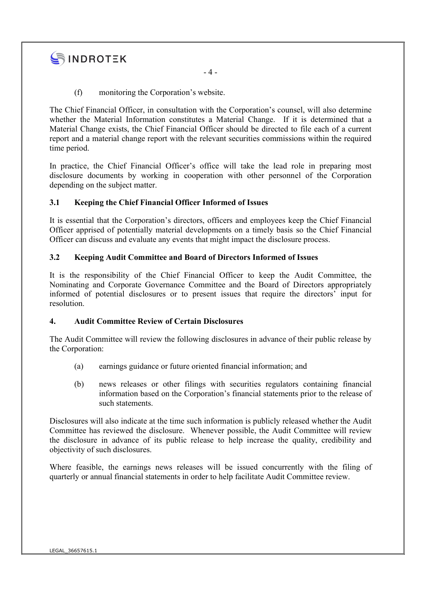# SINDROTEK

(f) monitoring the Corporation's website.

The Chief Financial Officer, in consultation with the Corporation's counsel, will also determine whether the Material Information constitutes a Material Change. If it is determined that a Material Change exists, the Chief Financial Officer should be directed to file each of a current report and a material change report with the relevant securities commissions within the required time period.

In practice, the Chief Financial Officer's office will take the lead role in preparing most disclosure documents by working in cooperation with other personnel of the Corporation depending on the subject matter.

# 3.1 Keeping the Chief Financial Officer Informed of Issues

It is essential that the Corporation's directors, officers and employees keep the Chief Financial Officer apprised of potentially material developments on a timely basis so the Chief Financial Officer can discuss and evaluate any events that might impact the disclosure process.

# 3.2 Keeping Audit Committee and Board of Directors Informed of Issues

It is the responsibility of the Chief Financial Officer to keep the Audit Committee, the Nominating and Corporate Governance Committee and the Board of Directors appropriately informed of potential disclosures or to present issues that require the directors' input for resolution.

# 4. Audit Committee Review of Certain Disclosures

The Audit Committee will review the following disclosures in advance of their public release by the Corporation:

- (a) earnings guidance or future oriented financial information; and
- (b) news releases or other filings with securities regulators containing financial information based on the Corporation's financial statements prior to the release of such statements.

Disclosures will also indicate at the time such information is publicly released whether the Audit Committee has reviewed the disclosure. Whenever possible, the Audit Committee will review the disclosure in advance of its public release to help increase the quality, credibility and objectivity of such disclosures.

Where feasible, the earnings news releases will be issued concurrently with the filing of quarterly or annual financial statements in order to help facilitate Audit Committee review.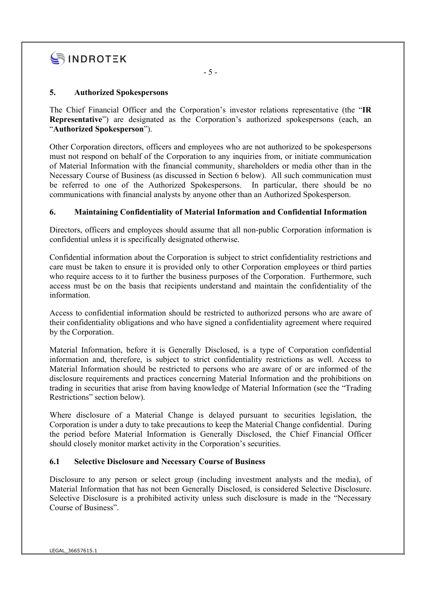

# 5. Authorized Spokespersons

The Chief Financial Officer and the Corporation's investor relations representative (the "IR Representative") are designated as the Corporation's authorized spokespersons (each, an "Authorized Spokesperson").

Other Corporation directors, officers and employees who are not authorized to be spokespersons must not respond on behalf of the Corporation to any inquiries from, or initiate communication of Material Information with the financial community, shareholders or media other than in the Necessary Course of Business (as discussed in Section 6 below). All such communication must be referred to one of the Authorized Spokespersons. In particular, there should be no communications with financial analysts by anyone other than an Authorized Spokesperson.

# 6. Maintaining Confidentiality of Material Information and Confidential Information

Directors, officers and employees should assume that all non-public Corporation information is confidential unless it is specifically designated otherwise.

Confidential information about the Corporation is subject to strict confidentiality restrictions and care must be taken to ensure it is provided only to other Corporation employees or third parties who require access to it to further the business purposes of the Corporation. Furthermore, such access must be on the basis that recipients understand and maintain the confidentiality of the information.

Access to confidential information should be restricted to authorized persons who are aware of their confidentiality obligations and who have signed a confidentiality agreement where required by the Corporation.

Material Information, before it is Generally Disclosed, is a type of Corporation confidential information and, therefore, is subject to strict confidentiality restrictions as well. Access to Material Information should be restricted to persons who are aware of or are informed of the disclosure requirements and practices concerning Material Information and the prohibitions on trading in securities that arise from having knowledge of Material Information (see the "Trading Restrictions" section below).

Where disclosure of a Material Change is delayed pursuant to securities legislation, the Corporation is under a duty to take precautions to keep the Material Change confidential. During the period before Material Information is Generally Disclosed, the Chief Financial Officer should closely monitor market activity in the Corporation's securities.

## 6.1 Selective Disclosure and Necessary Course of Business

Disclosure to any person or select group (including investment analysts and the media), of Material Information that has not been Generally Disclosed, is considered Selective Disclosure. Selective Disclosure is a prohibited activity unless such disclosure is made in the "Necessary Course of Business".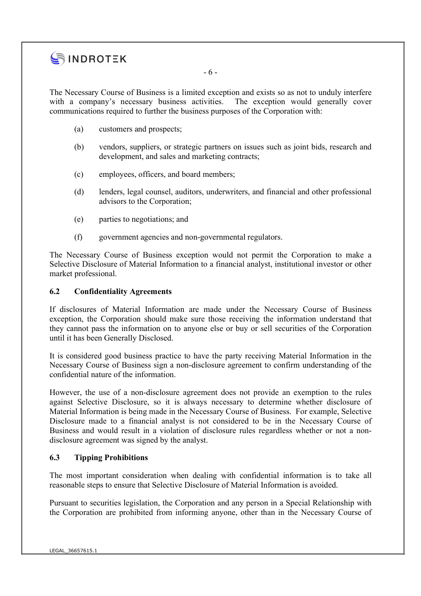

- 6 -

The Necessary Course of Business is a limited exception and exists so as not to unduly interfere with a company's necessary business activities. The exception would generally cover communications required to further the business purposes of the Corporation with:

- (a) customers and prospects;
- (b) vendors, suppliers, or strategic partners on issues such as joint bids, research and development, and sales and marketing contracts;
- (c) employees, officers, and board members;
- (d) lenders, legal counsel, auditors, underwriters, and financial and other professional advisors to the Corporation;
- (e) parties to negotiations; and
- (f) government agencies and non-governmental regulators.

The Necessary Course of Business exception would not permit the Corporation to make a Selective Disclosure of Material Information to a financial analyst, institutional investor or other market professional.

# 6.2 Confidentiality Agreements

If disclosures of Material Information are made under the Necessary Course of Business exception, the Corporation should make sure those receiving the information understand that they cannot pass the information on to anyone else or buy or sell securities of the Corporation until it has been Generally Disclosed.

It is considered good business practice to have the party receiving Material Information in the Necessary Course of Business sign a non-disclosure agreement to confirm understanding of the confidential nature of the information.

However, the use of a non-disclosure agreement does not provide an exemption to the rules against Selective Disclosure, so it is always necessary to determine whether disclosure of Material Information is being made in the Necessary Course of Business. For example, Selective Disclosure made to a financial analyst is not considered to be in the Necessary Course of Business and would result in a violation of disclosure rules regardless whether or not a nondisclosure agreement was signed by the analyst.

# 6.3 Tipping Prohibitions

The most important consideration when dealing with confidential information is to take all reasonable steps to ensure that Selective Disclosure of Material Information is avoided.

Pursuant to securities legislation, the Corporation and any person in a Special Relationship with the Corporation are prohibited from informing anyone, other than in the Necessary Course of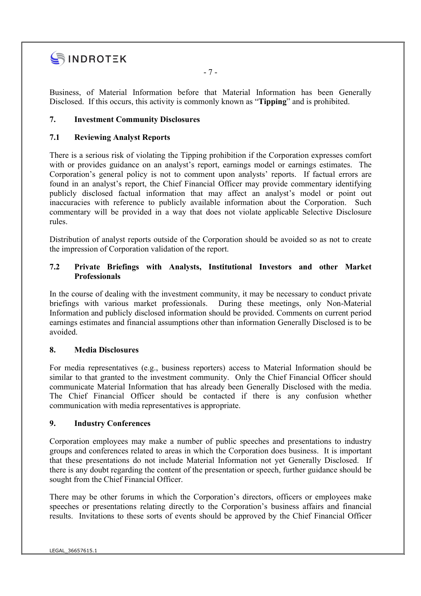

- 7 -

Business, of Material Information before that Material Information has been Generally Disclosed. If this occurs, this activity is commonly known as "Tipping" and is prohibited.

# 7. Investment Community Disclosures

# 7.1 Reviewing Analyst Reports

There is a serious risk of violating the Tipping prohibition if the Corporation expresses comfort with or provides guidance on an analyst's report, earnings model or earnings estimates. The Corporation's general policy is not to comment upon analysts' reports. If factual errors are found in an analyst's report, the Chief Financial Officer may provide commentary identifying publicly disclosed factual information that may affect an analyst's model or point out inaccuracies with reference to publicly available information about the Corporation. Such commentary will be provided in a way that does not violate applicable Selective Disclosure rules.

Distribution of analyst reports outside of the Corporation should be avoided so as not to create the impression of Corporation validation of the report.

# 7.2 Private Briefings with Analysts, Institutional Investors and other Market **Professionals**

In the course of dealing with the investment community, it may be necessary to conduct private briefings with various market professionals. During these meetings, only Non-Material Information and publicly disclosed information should be provided. Comments on current period earnings estimates and financial assumptions other than information Generally Disclosed is to be avoided.

## 8. Media Disclosures

For media representatives (e.g., business reporters) access to Material Information should be similar to that granted to the investment community. Only the Chief Financial Officer should communicate Material Information that has already been Generally Disclosed with the media. The Chief Financial Officer should be contacted if there is any confusion whether communication with media representatives is appropriate.

## 9. Industry Conferences

Corporation employees may make a number of public speeches and presentations to industry groups and conferences related to areas in which the Corporation does business. It is important that these presentations do not include Material Information not yet Generally Disclosed. If there is any doubt regarding the content of the presentation or speech, further guidance should be sought from the Chief Financial Officer.

There may be other forums in which the Corporation's directors, officers or employees make speeches or presentations relating directly to the Corporation's business affairs and financial results. Invitations to these sorts of events should be approved by the Chief Financial Officer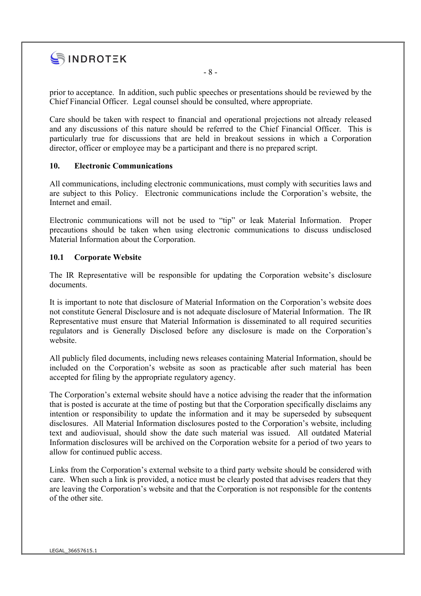

prior to acceptance. In addition, such public speeches or presentations should be reviewed by the Chief Financial Officer. Legal counsel should be consulted, where appropriate.

Care should be taken with respect to financial and operational projections not already released and any discussions of this nature should be referred to the Chief Financial Officer. This is particularly true for discussions that are held in breakout sessions in which a Corporation director, officer or employee may be a participant and there is no prepared script.

#### 10. Electronic Communications

All communications, including electronic communications, must comply with securities laws and are subject to this Policy. Electronic communications include the Corporation's website, the Internet and email.

Electronic communications will not be used to "tip" or leak Material Information. Proper precautions should be taken when using electronic communications to discuss undisclosed Material Information about the Corporation.

#### 10.1 Corporate Website

The IR Representative will be responsible for updating the Corporation website's disclosure documents.

It is important to note that disclosure of Material Information on the Corporation's website does not constitute General Disclosure and is not adequate disclosure of Material Information. The IR Representative must ensure that Material Information is disseminated to all required securities regulators and is Generally Disclosed before any disclosure is made on the Corporation's website.

All publicly filed documents, including news releases containing Material Information, should be included on the Corporation's website as soon as practicable after such material has been accepted for filing by the appropriate regulatory agency.

The Corporation's external website should have a notice advising the reader that the information that is posted is accurate at the time of posting but that the Corporation specifically disclaims any intention or responsibility to update the information and it may be superseded by subsequent disclosures. All Material Information disclosures posted to the Corporation's website, including text and audiovisual, should show the date such material was issued. All outdated Material Information disclosures will be archived on the Corporation website for a period of two years to allow for continued public access.

Links from the Corporation's external website to a third party website should be considered with care. When such a link is provided, a notice must be clearly posted that advises readers that they are leaving the Corporation's website and that the Corporation is not responsible for the contents of the other site.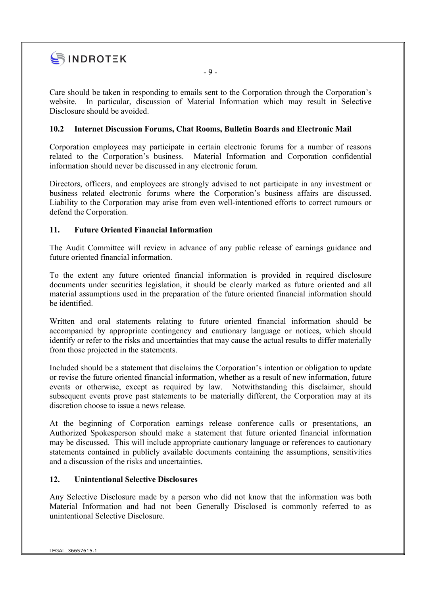

Care should be taken in responding to emails sent to the Corporation through the Corporation's website. In particular, discussion of Material Information which may result in Selective Disclosure should be avoided.

- 9 -

# 10.2 Internet Discussion Forums, Chat Rooms, Bulletin Boards and Electronic Mail

Corporation employees may participate in certain electronic forums for a number of reasons related to the Corporation's business. Material Information and Corporation confidential information should never be discussed in any electronic forum.

Directors, officers, and employees are strongly advised to not participate in any investment or business related electronic forums where the Corporation's business affairs are discussed. Liability to the Corporation may arise from even well-intentioned efforts to correct rumours or defend the Corporation.

# 11. Future Oriented Financial Information

The Audit Committee will review in advance of any public release of earnings guidance and future oriented financial information.

To the extent any future oriented financial information is provided in required disclosure documents under securities legislation, it should be clearly marked as future oriented and all material assumptions used in the preparation of the future oriented financial information should be identified.

Written and oral statements relating to future oriented financial information should be accompanied by appropriate contingency and cautionary language or notices, which should identify or refer to the risks and uncertainties that may cause the actual results to differ materially from those projected in the statements.

Included should be a statement that disclaims the Corporation's intention or obligation to update or revise the future oriented financial information, whether as a result of new information, future events or otherwise, except as required by law. Notwithstanding this disclaimer, should subsequent events prove past statements to be materially different, the Corporation may at its discretion choose to issue a news release.

At the beginning of Corporation earnings release conference calls or presentations, an Authorized Spokesperson should make a statement that future oriented financial information may be discussed. This will include appropriate cautionary language or references to cautionary statements contained in publicly available documents containing the assumptions, sensitivities and a discussion of the risks and uncertainties.

## 12. Unintentional Selective Disclosures

Any Selective Disclosure made by a person who did not know that the information was both Material Information and had not been Generally Disclosed is commonly referred to as unintentional Selective Disclosure.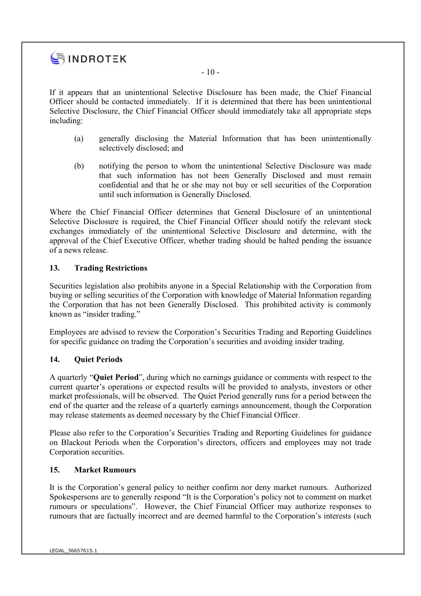

If it appears that an unintentional Selective Disclosure has been made, the Chief Financial Officer should be contacted immediately. If it is determined that there has been unintentional Selective Disclosure, the Chief Financial Officer should immediately take all appropriate steps including:

- (a) generally disclosing the Material Information that has been unintentionally selectively disclosed; and
- (b) notifying the person to whom the unintentional Selective Disclosure was made that such information has not been Generally Disclosed and must remain confidential and that he or she may not buy or sell securities of the Corporation until such information is Generally Disclosed.

Where the Chief Financial Officer determines that General Disclosure of an unintentional Selective Disclosure is required, the Chief Financial Officer should notify the relevant stock exchanges immediately of the unintentional Selective Disclosure and determine, with the approval of the Chief Executive Officer, whether trading should be halted pending the issuance of a news release.

# 13. Trading Restrictions

Securities legislation also prohibits anyone in a Special Relationship with the Corporation from buying or selling securities of the Corporation with knowledge of Material Information regarding the Corporation that has not been Generally Disclosed. This prohibited activity is commonly known as "insider trading."

Employees are advised to review the Corporation's Securities Trading and Reporting Guidelines for specific guidance on trading the Corporation's securities and avoiding insider trading.

## 14. Quiet Periods

A quarterly "Quiet Period", during which no earnings guidance or comments with respect to the current quarter's operations or expected results will be provided to analysts, investors or other market professionals, will be observed. The Quiet Period generally runs for a period between the end of the quarter and the release of a quarterly earnings announcement, though the Corporation may release statements as deemed necessary by the Chief Financial Officer.

Please also refer to the Corporation's Securities Trading and Reporting Guidelines for guidance on Blackout Periods when the Corporation's directors, officers and employees may not trade Corporation securities.

## 15. Market Rumours

It is the Corporation's general policy to neither confirm nor deny market rumours. Authorized Spokespersons are to generally respond "It is the Corporation's policy not to comment on market rumours or speculations". However, the Chief Financial Officer may authorize responses to rumours that are factually incorrect and are deemed harmful to the Corporation's interests (such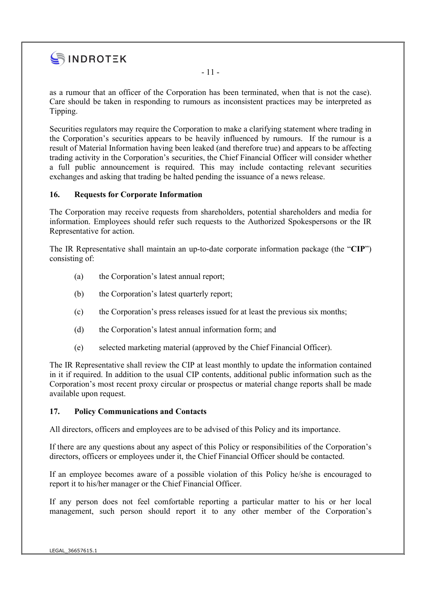

as a rumour that an officer of the Corporation has been terminated, when that is not the case). Care should be taken in responding to rumours as inconsistent practices may be interpreted as Tipping.

Securities regulators may require the Corporation to make a clarifying statement where trading in the Corporation's securities appears to be heavily influenced by rumours. If the rumour is a result of Material Information having been leaked (and therefore true) and appears to be affecting trading activity in the Corporation's securities, the Chief Financial Officer will consider whether a full public announcement is required. This may include contacting relevant securities exchanges and asking that trading be halted pending the issuance of a news release.

## 16. Requests for Corporate Information

The Corporation may receive requests from shareholders, potential shareholders and media for information. Employees should refer such requests to the Authorized Spokespersons or the IR Representative for action.

The IR Representative shall maintain an up-to-date corporate information package (the "CIP") consisting of:

- (a) the Corporation's latest annual report;
- (b) the Corporation's latest quarterly report;
- (c) the Corporation's press releases issued for at least the previous six months;
- (d) the Corporation's latest annual information form; and
- (e) selected marketing material (approved by the Chief Financial Officer).

The IR Representative shall review the CIP at least monthly to update the information contained in it if required. In addition to the usual CIP contents, additional public information such as the Corporation's most recent proxy circular or prospectus or material change reports shall be made available upon request.

## 17. Policy Communications and Contacts

All directors, officers and employees are to be advised of this Policy and its importance.

If there are any questions about any aspect of this Policy or responsibilities of the Corporation's directors, officers or employees under it, the Chief Financial Officer should be contacted.

If an employee becomes aware of a possible violation of this Policy he/she is encouraged to report it to his/her manager or the Chief Financial Officer.

If any person does not feel comfortable reporting a particular matter to his or her local management, such person should report it to any other member of the Corporation's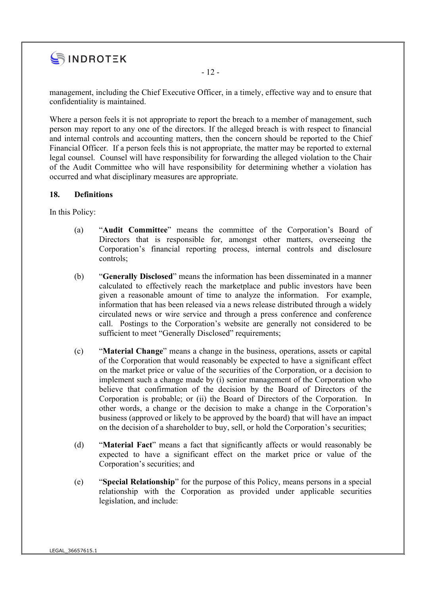

management, including the Chief Executive Officer, in a timely, effective way and to ensure that confidentiality is maintained.

Where a person feels it is not appropriate to report the breach to a member of management, such person may report to any one of the directors. If the alleged breach is with respect to financial and internal controls and accounting matters, then the concern should be reported to the Chief Financial Officer. If a person feels this is not appropriate, the matter may be reported to external legal counsel. Counsel will have responsibility for forwarding the alleged violation to the Chair of the Audit Committee who will have responsibility for determining whether a violation has occurred and what disciplinary measures are appropriate.

## 18. Definitions

In this Policy:

- (a) "Audit Committee" means the committee of the Corporation's Board of Directors that is responsible for, amongst other matters, overseeing the Corporation's financial reporting process, internal controls and disclosure controls;
- (b) "Generally Disclosed" means the information has been disseminated in a manner calculated to effectively reach the marketplace and public investors have been given a reasonable amount of time to analyze the information. For example, information that has been released via a news release distributed through a widely circulated news or wire service and through a press conference and conference call. Postings to the Corporation's website are generally not considered to be sufficient to meet "Generally Disclosed" requirements;
- (c) "Material Change" means a change in the business, operations, assets or capital of the Corporation that would reasonably be expected to have a significant effect on the market price or value of the securities of the Corporation, or a decision to implement such a change made by (i) senior management of the Corporation who believe that confirmation of the decision by the Board of Directors of the Corporation is probable; or (ii) the Board of Directors of the Corporation. In other words, a change or the decision to make a change in the Corporation's business (approved or likely to be approved by the board) that will have an impact on the decision of a shareholder to buy, sell, or hold the Corporation's securities;
- (d) "Material Fact" means a fact that significantly affects or would reasonably be expected to have a significant effect on the market price or value of the Corporation's securities; and
- (e) "Special Relationship" for the purpose of this Policy, means persons in a special relationship with the Corporation as provided under applicable securities legislation, and include: